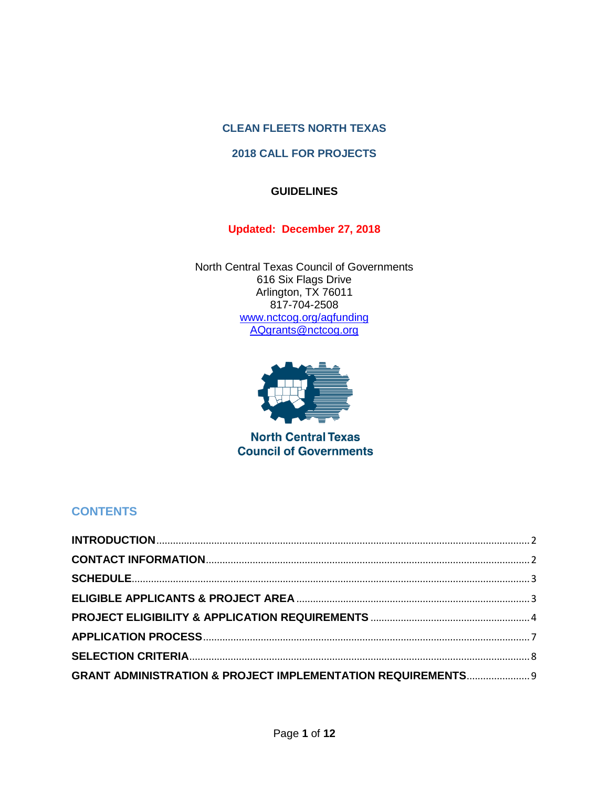## **CLEAN FLEETS NORTH TEXAS**

### **2018 CALL FOR PROJECTS**

## **GUIDELINES**

### **Updated: December 27, 2018**

North Central Texas Council of Governments 616 Six Flags Drive Arlington, TX 76011 817-704-2508 [www.nctcog.org/aqfunding](http://www.nctcog.org/aqfunding) [AQgrants@nctcog.org](mailto:AQgrants@nctcog.org)



**North Central Texas Council of Governments** 

# **CONTENTS**

| <b>GRANT ADMINISTRATION &amp; PROJECT IMPLEMENTATION REQUIREMENTS</b> 9 |  |
|-------------------------------------------------------------------------|--|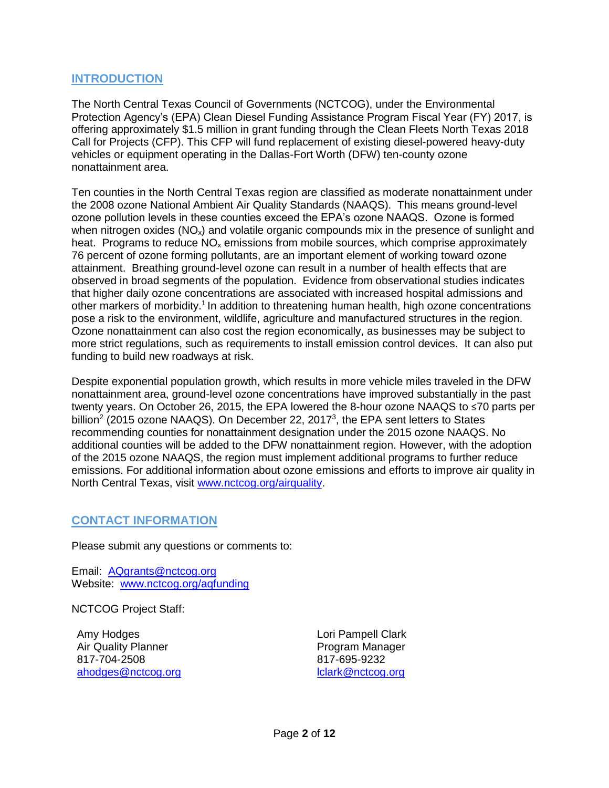### <span id="page-1-0"></span>**INTRODUCTION**

The North Central Texas Council of Governments (NCTCOG), under the Environmental Protection Agency's (EPA) Clean Diesel Funding Assistance Program Fiscal Year (FY) 2017, is offering approximately \$1.5 million in grant funding through the Clean Fleets North Texas 2018 Call for Projects (CFP). This CFP will fund replacement of existing diesel-powered heavy-duty vehicles or equipment operating in the Dallas-Fort Worth (DFW) ten-county ozone nonattainment area.

Ten counties in the North Central Texas region are classified as moderate nonattainment under the 2008 ozone National Ambient Air Quality Standards (NAAQS). This means ground-level ozone pollution levels in these counties exceed the EPA's ozone NAAQS. Ozone is formed when nitrogen oxides  $(NO_x)$  and volatile organic compounds mix in the presence of sunlight and heat. Programs to reduce  $NO<sub>x</sub>$  emissions from mobile sources, which comprise approximately 76 percent of ozone forming pollutants, are an important element of working toward ozone attainment. Breathing ground-level ozone can result in a number of health effects that are observed in broad segments of the population. Evidence from observational studies indicates that higher daily ozone concentrations are associated with increased hospital admissions and other markers of morbidity.<sup>1</sup> In addition to threatening human health, high ozone concentrations pose a risk to the environment, wildlife, agriculture and manufactured structures in the region. Ozone nonattainment can also cost the region economically, as businesses may be subject to more strict regulations, such as requirements to install emission control devices. It can also put funding to build new roadways at risk.

Despite exponential population growth, which results in more vehicle miles traveled in the DFW nonattainment area, ground-level ozone concentrations have improved substantially in the past twenty years. On October 26, 2015, the EPA lowered the 8-hour ozone NAAQS to ≤70 parts per billion<sup>2</sup> (2015 ozone NAAQS). On December 22, 2017<sup>3</sup>, the EPA sent letters to States recommending counties for nonattainment designation under the 2015 ozone NAAQS. No additional counties will be added to the DFW nonattainment region. However, with the adoption of the 2015 ozone NAAQS, the region must implement additional programs to further reduce emissions. For additional information about ozone emissions and efforts to improve air quality in North Central Texas, visit [www.nctcog.org/airquality.](http://www.nctcog.org/airquality)

### <span id="page-1-1"></span>**CONTACT INFORMATION**

Please submit any questions or comments to:

Email: [AQgrants@nctcog.org](mailto:AQgrants@nctcog.org) Website: www.nctcog.org/aqfunding

NCTCOG Project Staff:

Amy Hodges Air Quality Planner 817-704-2508 [ahodges@nctcog.org](mailto:ahodges@nctcog.org) Lori Pampell Clark Program Manager 817-695-9232 [lclark@nctcog.org](mailto:lclark@nctcog.org)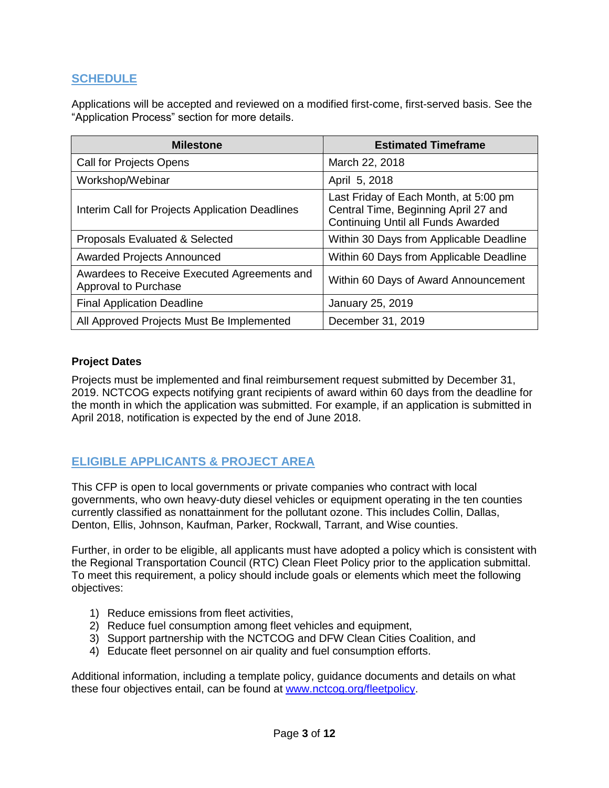## <span id="page-2-0"></span>**SCHEDULE**

Applications will be accepted and reviewed on a modified first-come, first-served basis. See the "Application Process" section for more details.

| <b>Milestone</b>                                                    | <b>Estimated Timeframe</b>                                                                                          |  |  |
|---------------------------------------------------------------------|---------------------------------------------------------------------------------------------------------------------|--|--|
| <b>Call for Projects Opens</b>                                      | March 22, 2018                                                                                                      |  |  |
| Workshop/Webinar                                                    | April 5, 2018                                                                                                       |  |  |
| Interim Call for Projects Application Deadlines                     | Last Friday of Each Month, at 5:00 pm<br>Central Time, Beginning April 27 and<br>Continuing Until all Funds Awarded |  |  |
| Proposals Evaluated & Selected                                      | Within 30 Days from Applicable Deadline                                                                             |  |  |
| <b>Awarded Projects Announced</b>                                   | Within 60 Days from Applicable Deadline                                                                             |  |  |
| Awardees to Receive Executed Agreements and<br>Approval to Purchase | Within 60 Days of Award Announcement                                                                                |  |  |
| <b>Final Application Deadline</b>                                   | January 25, 2019                                                                                                    |  |  |
| All Approved Projects Must Be Implemented                           | December 31, 2019                                                                                                   |  |  |

### **Project Dates**

Projects must be implemented and final reimbursement request submitted by December 31, 2019. NCTCOG expects notifying grant recipients of award within 60 days from the deadline for the month in which the application was submitted. For example, if an application is submitted in April 2018, notification is expected by the end of June 2018.

## <span id="page-2-1"></span>**ELIGIBLE APPLICANTS & PROJECT AREA**

This CFP is open to local governments or private companies who contract with local governments, who own heavy-duty diesel vehicles or equipment operating in the ten counties currently classified as nonattainment for the pollutant ozone. This includes Collin, Dallas, Denton, Ellis, Johnson, Kaufman, Parker, Rockwall, Tarrant, and Wise counties.

Further, in order to be eligible, all applicants must have adopted a policy which is consistent with the Regional Transportation Council (RTC) Clean Fleet Policy prior to the application submittal. To meet this requirement, a policy should include goals or elements which meet the following objectives:

- 1) Reduce emissions from fleet activities,
- 2) Reduce fuel consumption among fleet vehicles and equipment,
- 3) Support partnership with the NCTCOG and DFW Clean Cities Coalition, and
- 4) Educate fleet personnel on air quality and fuel consumption efforts.

Additional information, including a template policy, guidance documents and details on what these four objectives entail, can be found at [www.nctcog.org/fleetpolicy.](http://www.nctcog.org/fleetpolicy)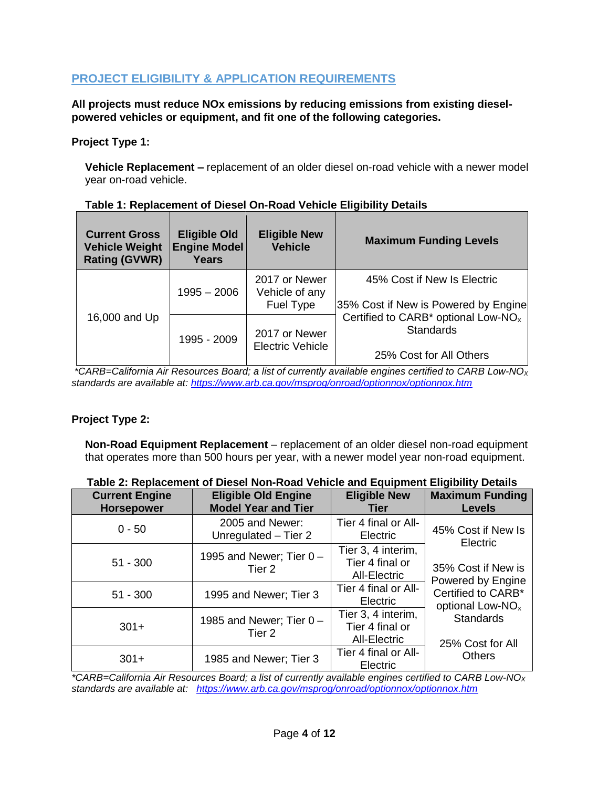## <span id="page-3-0"></span>**PROJECT ELIGIBILITY & APPLICATION REQUIREMENTS**

**All projects must reduce NOx emissions by reducing emissions from existing dieselpowered vehicles or equipment, and fit one of the following categories.** 

#### **Project Type 1:**

**Vehicle Replacement –** replacement of an older diesel on-road vehicle with a newer model year on-road vehicle.

| <b>Current Gross</b><br><b>Vehicle Weight</b><br><b>Rating (GVWR)</b> | <b>Eligible Old</b><br><b>Engine Model</b><br><b>Years</b> | <b>Eligible New</b><br><b>Vehicle</b>               | <b>Maximum Funding Levels</b>                                                                  |  |
|-----------------------------------------------------------------------|------------------------------------------------------------|-----------------------------------------------------|------------------------------------------------------------------------------------------------|--|
| 16,000 and Up                                                         | 1995 - 2006                                                | 2017 or Newer<br>Vehicle of any<br><b>Fuel Type</b> | 45% Cost if New Is Electric<br>35% Cost if New is Powered by Engine                            |  |
|                                                                       | 1995 - 2009                                                | 2017 or Newer<br><b>Electric Vehicle</b>            | Certified to CARB* optional Low-NO <sub>x</sub><br><b>Standards</b><br>25% Cost for All Others |  |

#### **Table 1: Replacement of Diesel On-Road Vehicle Eligibility Details**

*\*CARB=California Air Resources Board; a list of currently available engines certified to CARB Low-NO<sup>X</sup> standards are available at:<https://www.arb.ca.gov/msprog/onroad/optionnox/optionnox.htm>*

### **Project Type 2:**

**Non-Road Equipment Replacement** – replacement of an older diesel non-road equipment that operates more than 500 hours per year, with a newer model year non-road equipment.

| <b>Current Engine</b><br><b>Horsepower</b> | <b>Eligible Old Engine</b><br><b>Model Year and Tier</b>                    | <b>Eligible New</b><br><b>Tier</b>                           | <b>Maximum Funding</b><br><b>Levels</b>                                                                         |  |
|--------------------------------------------|-----------------------------------------------------------------------------|--------------------------------------------------------------|-----------------------------------------------------------------------------------------------------------------|--|
| $0 - 50$                                   | Tier 4 final or All-<br>2005 and Newer:<br>Unregulated - Tier 2<br>Electric |                                                              | 45% Cost if New Is<br>Electric                                                                                  |  |
| $51 - 300$                                 | 1995 and Newer; Tier $0 -$<br>Tier 2                                        | Tier 3, 4 interim,<br>Tier 4 final or<br><b>All-Electric</b> | 35% Cost if New is                                                                                              |  |
| $51 - 300$                                 | 1995 and Newer; Tier 3                                                      | Tier 4 final or All-<br>Electric                             | Powered by Engine<br>Certified to CARB*<br>optional Low-NO <sub>x</sub><br><b>Standards</b><br>25% Cost for All |  |
| $301+$                                     | 1985 and Newer; Tier $0 -$<br>Tier 2                                        | Tier 3, 4 interim,<br>Tier 4 final or<br>All-Electric        |                                                                                                                 |  |
| $301+$                                     | 1985 and Newer; Tier 3                                                      | Tier 4 final or All-<br>Electric                             | <b>Others</b>                                                                                                   |  |

#### **Table 2: Replacement of Diesel Non-Road Vehicle and Equipment Eligibility Details**

*\*CARB=California Air Resources Board; a list of currently available engines certified to CARB Low-NO<sup>X</sup> standards are available at: <https://www.arb.ca.gov/msprog/onroad/optionnox/optionnox.htm>*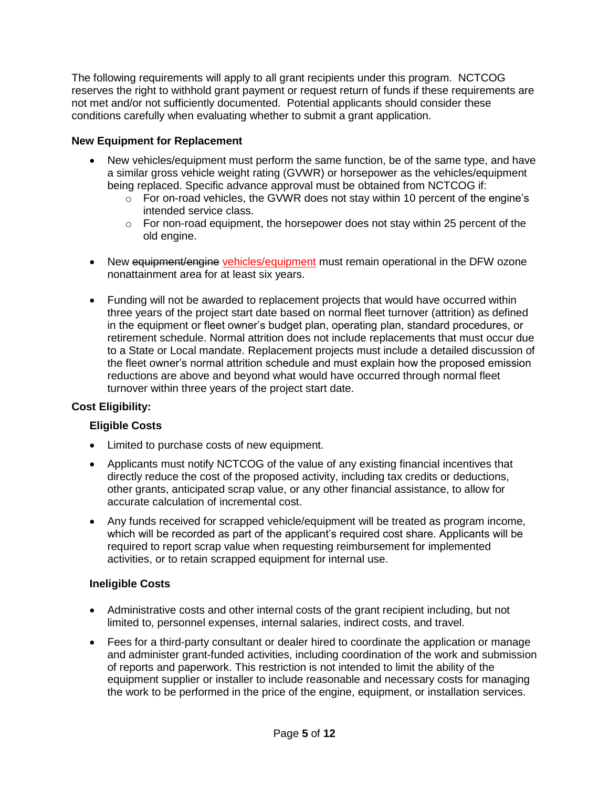The following requirements will apply to all grant recipients under this program. NCTCOG reserves the right to withhold grant payment or request return of funds if these requirements are not met and/or not sufficiently documented. Potential applicants should consider these conditions carefully when evaluating whether to submit a grant application.

### **New Equipment for Replacement**

- New vehicles/equipment must perform the same function, be of the same type, and have a similar gross vehicle weight rating (GVWR) or horsepower as the vehicles/equipment being replaced. Specific advance approval must be obtained from NCTCOG if:
	- $\circ$  For on-road vehicles, the GVWR does not stay within 10 percent of the engine's intended service class.
	- $\circ$  For non-road equipment, the horsepower does not stay within 25 percent of the old engine.
- New equipment/engine vehicles/equipment must remain operational in the DFW ozone nonattainment area for at least six years.
- Funding will not be awarded to replacement projects that would have occurred within three years of the project start date based on normal fleet turnover (attrition) as defined in the equipment or fleet owner's budget plan, operating plan, standard procedures, or retirement schedule. Normal attrition does not include replacements that must occur due to a State or Local mandate. Replacement projects must include a detailed discussion of the fleet owner's normal attrition schedule and must explain how the proposed emission reductions are above and beyond what would have occurred through normal fleet turnover within three years of the project start date.

## **Cost Eligibility:**

### **Eligible Costs**

- Limited to purchase costs of new equipment.
- Applicants must notify NCTCOG of the value of any existing financial incentives that directly reduce the cost of the proposed activity, including tax credits or deductions, other grants, anticipated scrap value, or any other financial assistance, to allow for accurate calculation of incremental cost.
- Any funds received for scrapped vehicle/equipment will be treated as program income, which will be recorded as part of the applicant's required cost share. Applicants will be required to report scrap value when requesting reimbursement for implemented activities, or to retain scrapped equipment for internal use.

### **Ineligible Costs**

- Administrative costs and other internal costs of the grant recipient including, but not limited to, personnel expenses, internal salaries, indirect costs, and travel.
- Fees for a third-party consultant or dealer hired to coordinate the application or manage and administer grant-funded activities, including coordination of the work and submission of reports and paperwork. This restriction is not intended to limit the ability of the equipment supplier or installer to include reasonable and necessary costs for managing the work to be performed in the price of the engine, equipment, or installation services.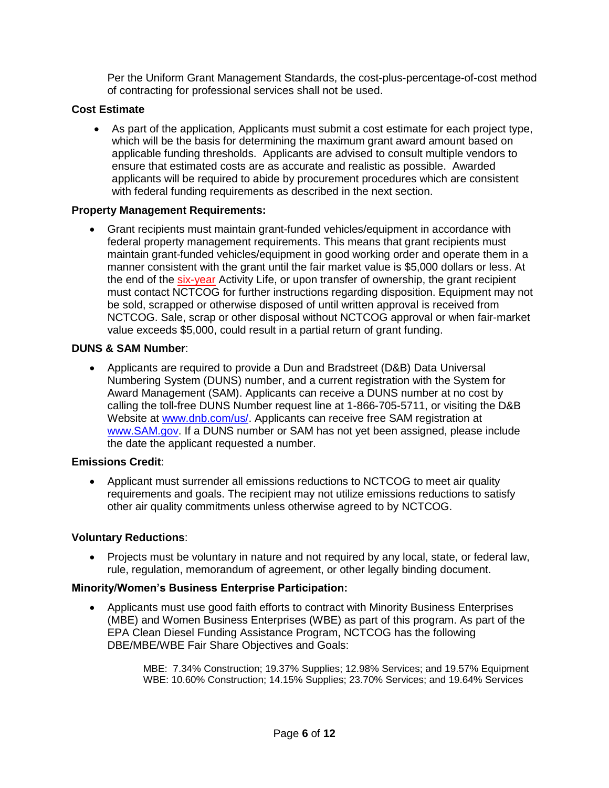Per the Uniform Grant Management Standards, the cost-plus-percentage-of-cost method of contracting for professional services shall not be used.

#### **Cost Estimate**

• As part of the application, Applicants must submit a cost estimate for each project type, which will be the basis for determining the maximum grant award amount based on applicable funding thresholds. Applicants are advised to consult multiple vendors to ensure that estimated costs are as accurate and realistic as possible. Awarded applicants will be required to abide by procurement procedures which are consistent with federal funding requirements as described in the next section.

#### **Property Management Requirements:**

• Grant recipients must maintain grant-funded vehicles/equipment in accordance with federal property management requirements. This means that grant recipients must maintain grant-funded vehicles/equipment in good working order and operate them in a manner consistent with the grant until the fair market value is \$5,000 dollars or less. At the end of the six-year Activity Life, or upon transfer of ownership, the grant recipient must contact NCTCOG for further instructions regarding disposition. Equipment may not be sold, scrapped or otherwise disposed of until written approval is received from NCTCOG. Sale, scrap or other disposal without NCTCOG approval or when fair-market value exceeds \$5,000, could result in a partial return of grant funding.

#### **DUNS & SAM Number**:

• Applicants are required to provide a Dun and Bradstreet (D&B) Data Universal Numbering System (DUNS) number, and a current registration with the System for Award Management (SAM). Applicants can receive a DUNS number at no cost by calling the toll-free DUNS Number request line at 1-866-705-5711, or visiting the D&B Website at [www.dnb.com/us/.](http://www.dnb.com/us/) Applicants can receive free SAM registration at [www.SAM.gov.](http://www.sam.gov/) If a DUNS number or SAM has not yet been assigned, please include the date the applicant requested a number.

#### **Emissions Credit**:

• Applicant must surrender all emissions reductions to NCTCOG to meet air quality requirements and goals. The recipient may not utilize emissions reductions to satisfy other air quality commitments unless otherwise agreed to by NCTCOG.

### **Voluntary Reductions**:

• Projects must be voluntary in nature and not required by any local, state, or federal law, rule, regulation, memorandum of agreement, or other legally binding document.

#### **Minority/Women's Business Enterprise Participation:**

• Applicants must use good faith efforts to contract with Minority Business Enterprises (MBE) and Women Business Enterprises (WBE) as part of this program. As part of the EPA Clean Diesel Funding Assistance Program, NCTCOG has the following DBE/MBE/WBE Fair Share Objectives and Goals:

> MBE: 7.34% Construction; 19.37% Supplies; 12.98% Services; and 19.57% Equipment WBE: 10.60% Construction; 14.15% Supplies; 23.70% Services; and 19.64% Services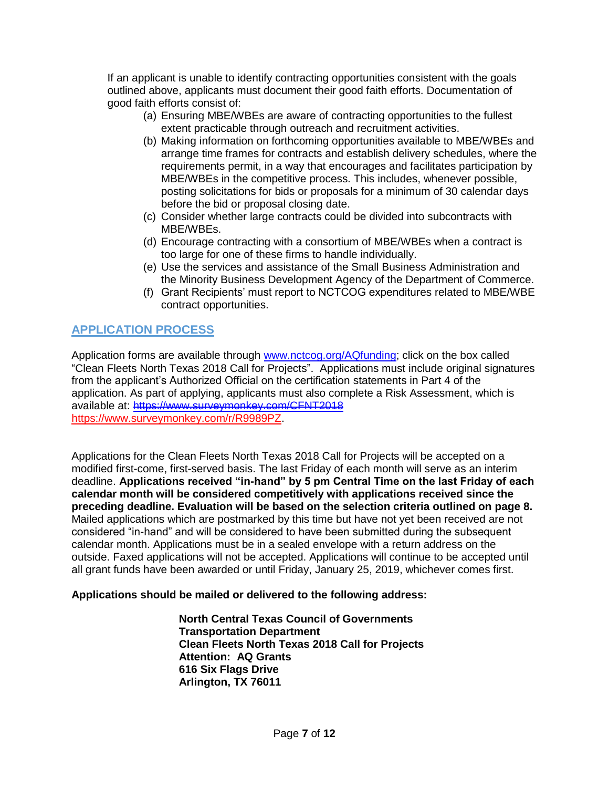If an applicant is unable to identify contracting opportunities consistent with the goals outlined above, applicants must document their good faith efforts. Documentation of good faith efforts consist of:

- (a) Ensuring MBE/WBEs are aware of contracting opportunities to the fullest extent practicable through outreach and recruitment activities.
- (b) Making information on forthcoming opportunities available to MBE/WBEs and arrange time frames for contracts and establish delivery schedules, where the requirements permit, in a way that encourages and facilitates participation by MBE/WBEs in the competitive process. This includes, whenever possible, posting solicitations for bids or proposals for a minimum of 30 calendar days before the bid or proposal closing date.
- (c) Consider whether large contracts could be divided into subcontracts with MBE/WBEs.
- (d) Encourage contracting with a consortium of MBE/WBEs when a contract is too large for one of these firms to handle individually.
- (e) Use the services and assistance of the Small Business Administration and the Minority Business Development Agency of the Department of Commerce.
- (f) Grant Recipients' must report to NCTCOG expenditures related to MBE/WBE contract opportunities.

# <span id="page-6-0"></span>**APPLICATION PROCESS**

Application forms are available through [www.nctcog.org/AQfunding;](http://www.nctcog.org/aqfunding) click on the box called "Clean Fleets North Texas 2018 Call for Projects". Applications must include original signatures from the applicant's Authorized Official on the certification statements in Part 4 of the application. As part of applying, applicants must also complete a Risk Assessment, which is available at: [https://www.surveymonkey.com/CFNT2018](https://www.surveymonkey.com/r/?sm=BelS_2BM08GId2F9IlQY530w_3D_3D) [https://www.surveymonkey.com/r/R9989PZ.](https://www.surveymonkey.com/r/R9989PZ)

Applications for the Clean Fleets North Texas 2018 Call for Projects will be accepted on a modified first-come, first-served basis. The last Friday of each month will serve as an interim deadline. **Applications received "in-hand" by 5 pm Central Time on the last Friday of each calendar month will be considered competitively with applications received since the preceding deadline. Evaluation will be based on the selection criteria outlined on page 8.**  Mailed applications which are postmarked by this time but have not yet been received are not considered "in-hand" and will be considered to have been submitted during the subsequent calendar month. Applications must be in a sealed envelope with a return address on the outside. Faxed applications will not be accepted. Applications will continue to be accepted until all grant funds have been awarded or until Friday, January 25, 2019, whichever comes first.

### **Applications should be mailed or delivered to the following address:**

**North Central Texas Council of Governments Transportation Department Clean Fleets North Texas 2018 Call for Projects Attention: AQ Grants 616 Six Flags Drive Arlington, TX 76011**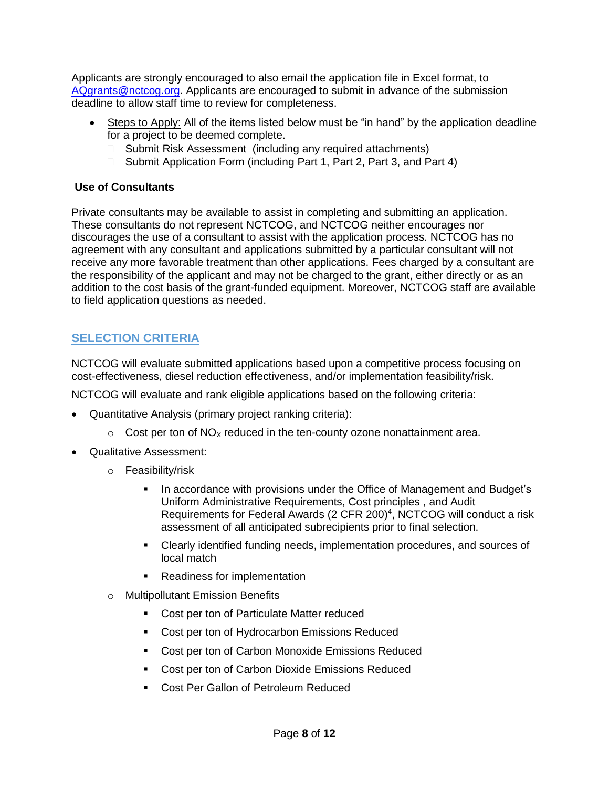Applicants are strongly encouraged to also email the application file in Excel format, to [AQgrants@nctcog.org.](mailto:AQgrants@nctcog.org) Applicants are encouraged to submit in advance of the submission deadline to allow staff time to review for completeness.

- Steps to Apply: All of the items listed below must be "in hand" by the application deadline for a project to be deemed complete.
	- □ Submit Risk Assessment (including any required attachments)
	- □ Submit Application Form (including Part 1, Part 2, Part 3, and Part 4)

### **Use of Consultants**

Private consultants may be available to assist in completing and submitting an application. These consultants do not represent NCTCOG, and NCTCOG neither encourages nor discourages the use of a consultant to assist with the application process. NCTCOG has no agreement with any consultant and applications submitted by a particular consultant will not receive any more favorable treatment than other applications. Fees charged by a consultant are the responsibility of the applicant and may not be charged to the grant, either directly or as an addition to the cost basis of the grant-funded equipment. Moreover, NCTCOG staff are available to field application questions as needed.

# <span id="page-7-0"></span>**SELECTION CRITERIA**

NCTCOG will evaluate submitted applications based upon a competitive process focusing on cost-effectiveness, diesel reduction effectiveness, and/or implementation feasibility/risk.

NCTCOG will evaluate and rank eligible applications based on the following criteria:

- Quantitative Analysis (primary project ranking criteria):
	- $\circ$  Cost per ton of NO<sub>X</sub> reduced in the ten-county ozone nonattainment area.
- Qualitative Assessment:
	- o Feasibility/risk
		- In accordance with provisions under the Office of Management and Budget's Uniform Administrative Requirements, Cost principles , and Audit Requirements for Federal Awards (2 CFR 200) 4 , NCTCOG will conduct a risk assessment of all anticipated subrecipients prior to final selection.
		- Clearly identified funding needs, implementation procedures, and sources of local match
		- Readiness for implementation
	- o Multipollutant Emission Benefits
		- Cost per ton of Particulate Matter reduced
		- Cost per ton of Hydrocarbon Emissions Reduced
		- Cost per ton of Carbon Monoxide Emissions Reduced
		- Cost per ton of Carbon Dioxide Emissions Reduced
		- Cost Per Gallon of Petroleum Reduced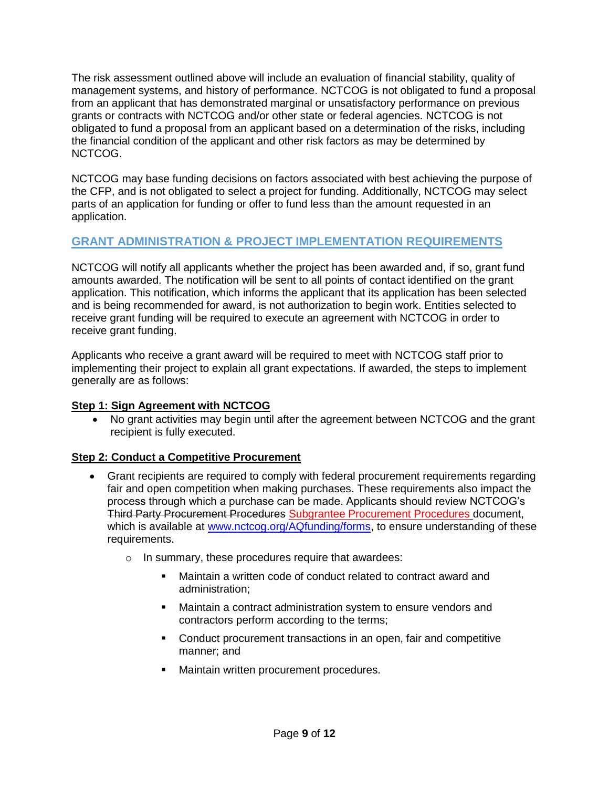The risk assessment outlined above will include an evaluation of financial stability, quality of management systems, and history of performance. NCTCOG is not obligated to fund a proposal from an applicant that has demonstrated marginal or unsatisfactory performance on previous grants or contracts with NCTCOG and/or other state or federal agencies. NCTCOG is not obligated to fund a proposal from an applicant based on a determination of the risks, including the financial condition of the applicant and other risk factors as may be determined by NCTCOG.

NCTCOG may base funding decisions on factors associated with best achieving the purpose of the CFP, and is not obligated to select a project for funding. Additionally, NCTCOG may select parts of an application for funding or offer to fund less than the amount requested in an application.

## <span id="page-8-0"></span>**GRANT ADMINISTRATION & PROJECT IMPLEMENTATION REQUIREMENTS**

NCTCOG will notify all applicants whether the project has been awarded and, if so, grant fund amounts awarded. The notification will be sent to all points of contact identified on the grant application. This notification, which informs the applicant that its application has been selected and is being recommended for award, is not authorization to begin work. Entities selected to receive grant funding will be required to execute an agreement with NCTCOG in order to receive grant funding.

Applicants who receive a grant award will be required to meet with NCTCOG staff prior to implementing their project to explain all grant expectations. If awarded, the steps to implement generally are as follows:

### **Step 1: Sign Agreement with NCTCOG**

• No grant activities may begin until after the agreement between NCTCOG and the grant recipient is fully executed.

### **Step 2: Conduct a Competitive Procurement**

- Grant recipients are required to comply with federal procurement requirements regarding fair and open competition when making purchases. These requirements also impact the process through which a purchase can be made. Applicants should review NCTCOG's Third Party Procurement Procedures Subgrantee Procurement Procedures document, which is available at [www.nctcog.org/AQfunding/forms,](http://www.nctcog.org/AQfunding/forms) to ensure understanding of these requirements.
	- o In summary, these procedures require that awardees:
		- Maintain a written code of conduct related to contract award and administration;
		- Maintain a contract administration system to ensure vendors and contractors perform according to the terms;
		- Conduct procurement transactions in an open, fair and competitive manner; and
		- Maintain written procurement procedures.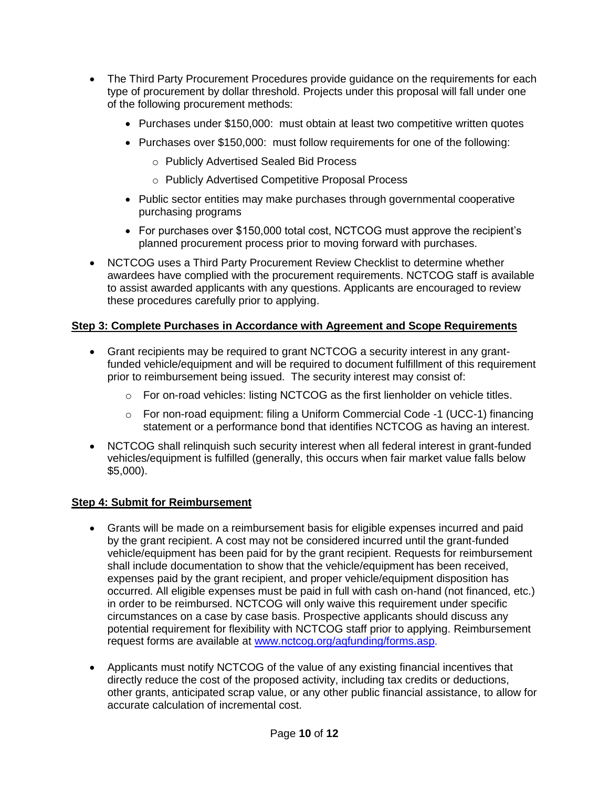- The Third Party Procurement Procedures provide guidance on the requirements for each type of procurement by dollar threshold. Projects under this proposal will fall under one of the following procurement methods:
	- Purchases under \$150,000: must obtain at least two competitive written quotes
	- Purchases over \$150,000: must follow requirements for one of the following:
		- o Publicly Advertised Sealed Bid Process
		- o Publicly Advertised Competitive Proposal Process
	- Public sector entities may make purchases through governmental cooperative purchasing programs
	- For purchases over \$150,000 total cost, NCTCOG must approve the recipient's planned procurement process prior to moving forward with purchases.
- NCTCOG uses a Third Party Procurement Review Checklist to determine whether awardees have complied with the procurement requirements. NCTCOG staff is available to assist awarded applicants with any questions. Applicants are encouraged to review these procedures carefully prior to applying.

## **Step 3: Complete Purchases in Accordance with Agreement and Scope Requirements**

- Grant recipients may be required to grant NCTCOG a security interest in any grantfunded vehicle/equipment and will be required to document fulfillment of this requirement prior to reimbursement being issued. The security interest may consist of:
	- o For on-road vehicles: listing NCTCOG as the first lienholder on vehicle titles.
	- o For non-road equipment: filing a Uniform Commercial Code -1 (UCC-1) financing statement or a performance bond that identifies NCTCOG as having an interest.
- NCTCOG shall relinquish such security interest when all federal interest in grant-funded vehicles/equipment is fulfilled (generally, this occurs when fair market value falls below \$5,000).

### **Step 4: Submit for Reimbursement**

- Grants will be made on a reimbursement basis for eligible expenses incurred and paid by the grant recipient. A cost may not be considered incurred until the grant-funded vehicle/equipment has been paid for by the grant recipient. Requests for reimbursement shall include documentation to show that the vehicle/equipment has been received, expenses paid by the grant recipient, and proper vehicle/equipment disposition has occurred. All eligible expenses must be paid in full with cash on-hand (not financed, etc.) in order to be reimbursed. NCTCOG will only waive this requirement under specific circumstances on a case by case basis. Prospective applicants should discuss any potential requirement for flexibility with NCTCOG staff prior to applying. Reimbursement request forms are available at [www.nctcog.org/aqfunding/forms.asp.](http://www.nctcog.org/trans/air/vehicles/investments/funding/forms.asp)
- Applicants must notify NCTCOG of the value of any existing financial incentives that directly reduce the cost of the proposed activity, including tax credits or deductions, other grants, anticipated scrap value, or any other public financial assistance, to allow for accurate calculation of incremental cost.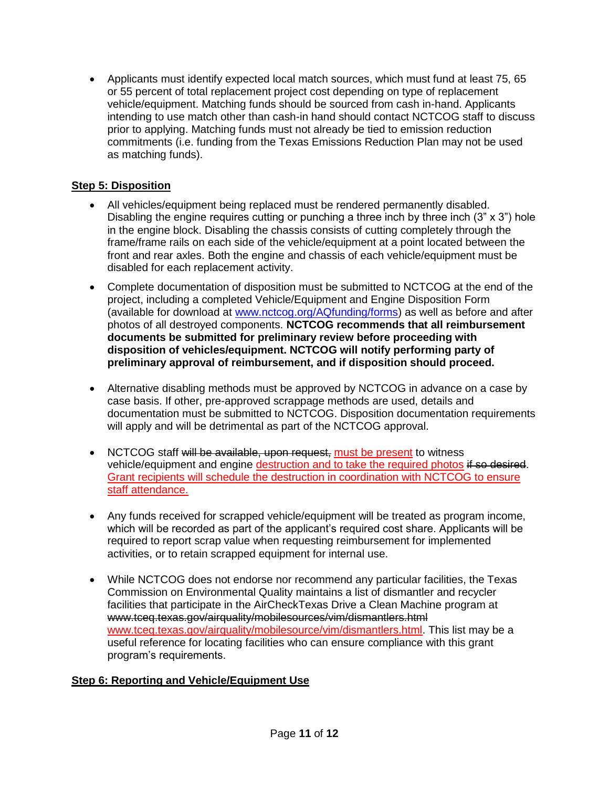• Applicants must identify expected local match sources, which must fund at least 75, 65 or 55 percent of total replacement project cost depending on type of replacement vehicle/equipment. Matching funds should be sourced from cash in-hand. Applicants intending to use match other than cash-in hand should contact NCTCOG staff to discuss prior to applying. Matching funds must not already be tied to emission reduction commitments (i.e. funding from the Texas Emissions Reduction Plan may not be used as matching funds).

## **Step 5: Disposition**

- All vehicles/equipment being replaced must be rendered permanently disabled. Disabling the engine requires cutting or punching a three inch by three inch  $(3" \times 3")$  hole in the engine block. Disabling the chassis consists of cutting completely through the frame/frame rails on each side of the vehicle/equipment at a point located between the front and rear axles. Both the engine and chassis of each vehicle/equipment must be disabled for each replacement activity.
- Complete documentation of disposition must be submitted to NCTCOG at the end of the project, including a completed Vehicle/Equipment and Engine Disposition Form (available for download at [www.nctcog.org/AQfunding/forms\)](http://www.nctcog.org/AQfunding/forms) as well as before and after photos of all destroyed components. **NCTCOG recommends that all reimbursement documents be submitted for preliminary review before proceeding with disposition of vehicles/equipment. NCTCOG will notify performing party of preliminary approval of reimbursement, and if disposition should proceed.**
- Alternative disabling methods must be approved by NCTCOG in advance on a case by case basis. If other, pre-approved scrappage methods are used, details and documentation must be submitted to NCTCOG. Disposition documentation requirements will apply and will be detrimental as part of the NCTCOG approval.
- NCTCOG staff will be available, upon request, must be present to witness vehicle/equipment and engine destruction and to take the required photos if so desired. Grant recipients will schedule the destruction in coordination with NCTCOG to ensure staff attendance.
- Any funds received for scrapped vehicle/equipment will be treated as program income, which will be recorded as part of the applicant's required cost share. Applicants will be required to report scrap value when requesting reimbursement for implemented activities, or to retain scrapped equipment for internal use.
- While NCTCOG does not endorse nor recommend any particular facilities, the Texas Commission on Environmental Quality maintains a list of dismantler and recycler facilities that participate in the AirCheckTexas Drive a Clean Machine program at www.tceq.texas.gov/airquality/mobilesources/vim/dismantlers.html [www.tceq.texas.gov/airquality/mobilesource/vim/dismantlers.html.](http://www.tceq.texas.gov/airquality/mobilesource/vim/dismantlers.html) This list may be a useful reference for locating facilities who can ensure compliance with this grant program's requirements.

### **Step 6: Reporting and Vehicle/Equipment Use**